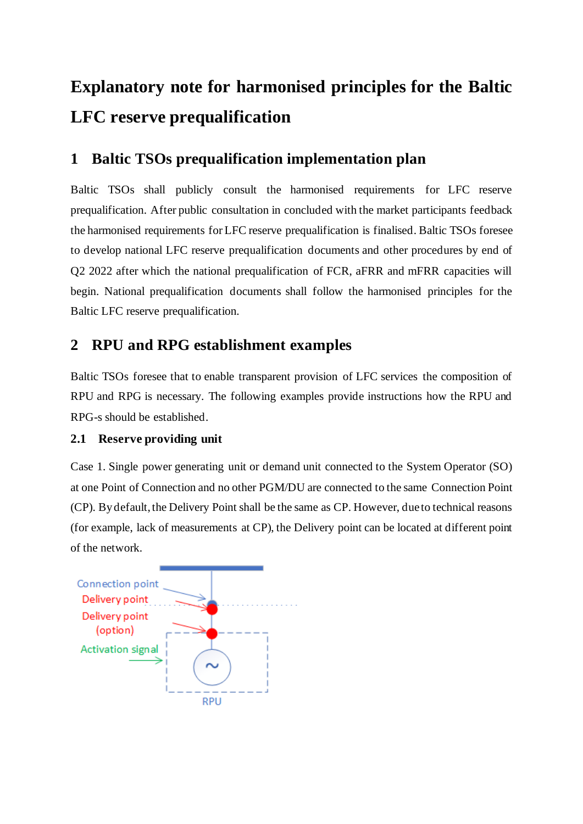# **Explanatory note for harmonised principles for the Baltic LFC reserve prequalification**

## **1 Baltic TSOs prequalification implementation plan**

Baltic TSOs shall publicly consult the harmonised requirements for LFC reserve prequalification. After public consultation in concluded with the market participants feedback the harmonised requirements for LFC reserve prequalification is finalised. Baltic TSOs foresee to develop national LFC reserve prequalification documents and other procedures by end of Q2 2022 after which the national prequalification of FCR, aFRR and mFRR capacities will begin. National prequalification documents shall follow the harmonised principles for the Baltic LFC reserve prequalification.

## **2 RPU and RPG establishment examples**

Baltic TSOs foresee that to enable transparent provision of LFC services the composition of RPU and RPG is necessary. The following examples provide instructions how the RPU and RPG-s should be established.

#### **2.1 Reserve providing unit**

Case 1. Single power generating unit or demand unit connected to the System Operator (SO) at one Point of Connection and no other PGM/DU are connected to the same Connection Point (CP). By default, the Delivery Point shall be the same as CP. However, due to technical reasons (for example, lack of measurements at CP), the Delivery point can be located at different point of the network.

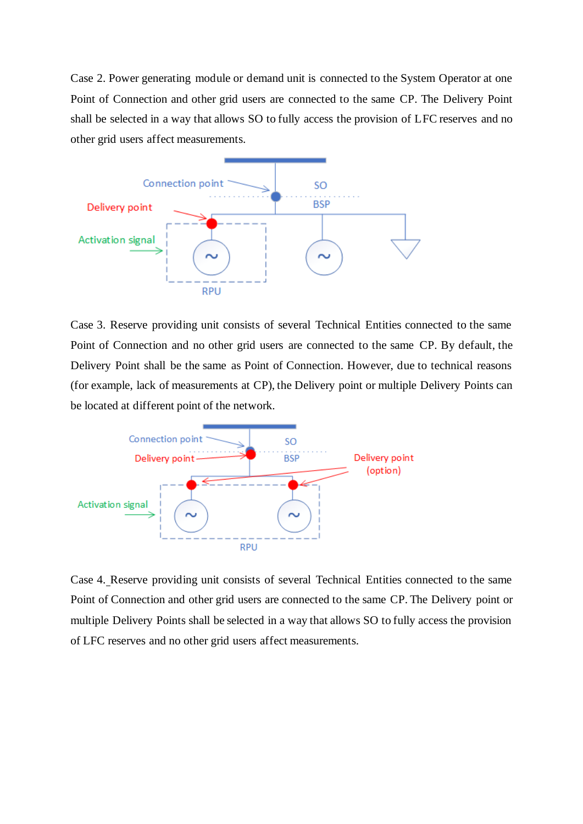Case 2. Power generating module or demand unit is connected to the System Operator at one Point of Connection and other grid users are connected to the same CP. The Delivery Point shall be selected in a way that allows SO to fully access the provision of LFC reserves and no other grid users affect measurements.



Case 3. Reserve providing unit consists of several Technical Entities connected to the same Point of Connection and no other grid users are connected to the same CP. By default, the Delivery Point shall be the same as Point of Connection. However, due to technical reasons (for example, lack of measurements at CP), the Delivery point or multiple Delivery Points can be located at different point of the network.



Case 4. Reserve providing unit consists of several Technical Entities connected to the same Point of Connection and other grid users are connected to the same CP. The Delivery point or multiple Delivery Points shall be selected in a way that allows SO to fully access the provision of LFC reserves and no other grid users affect measurements.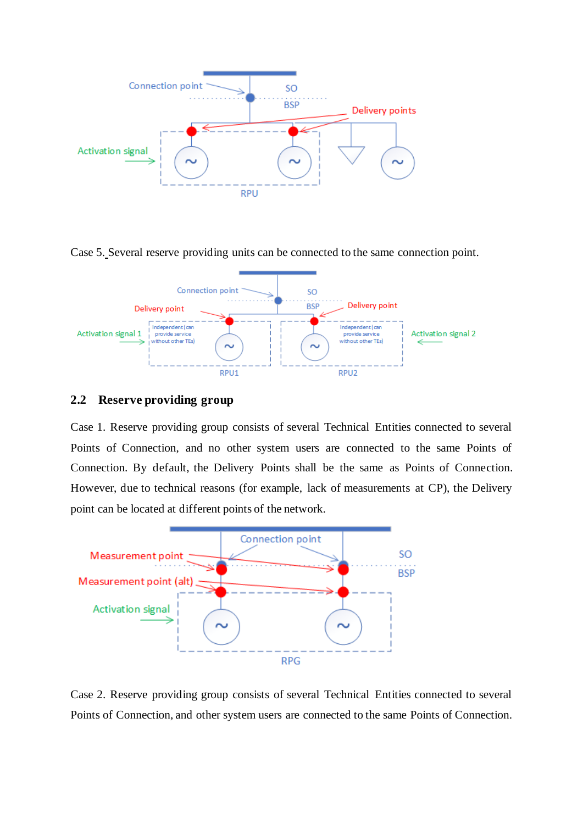

Case 5. Several reserve providing units can be connected to the same connection point.



### **2.2 Reserve providing group**

Case 1. Reserve providing group consists of several Technical Entities connected to several Points of Connection, and no other system users are connected to the same Points of Connection. By default, the Delivery Points shall be the same as Points of Connection. However, due to technical reasons (for example, lack of measurements at CP), the Delivery point can be located at different points of the network.



Case 2. Reserve providing group consists of several Technical Entities connected to several Points of Connection, and other system users are connected to the same Points of Connection.